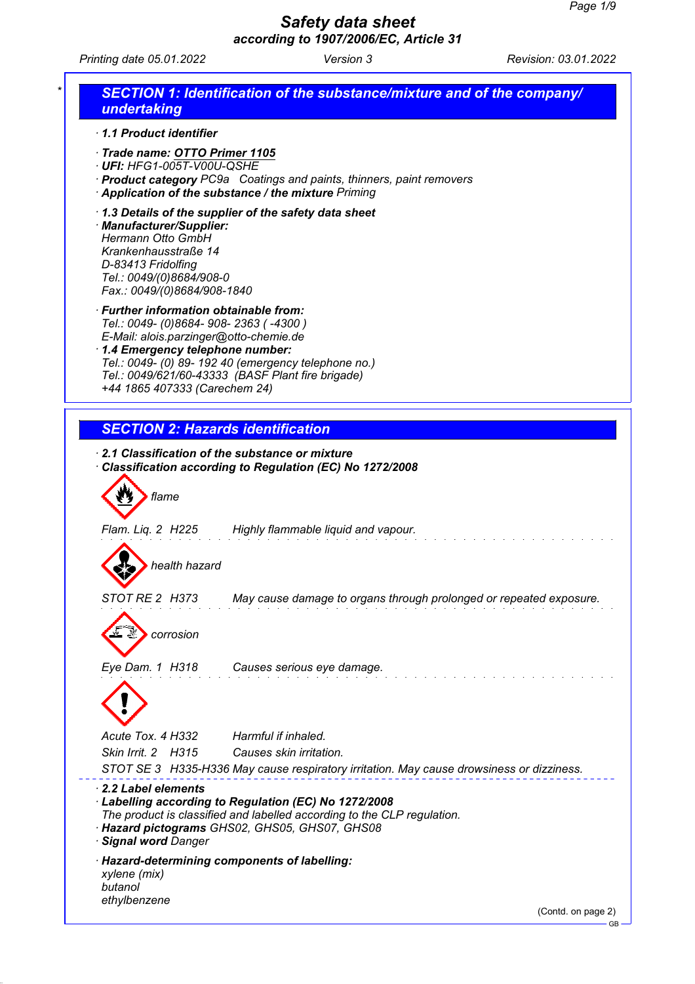*Printing date 05.01.2022 Version 3 Revision: 03.01.2022*

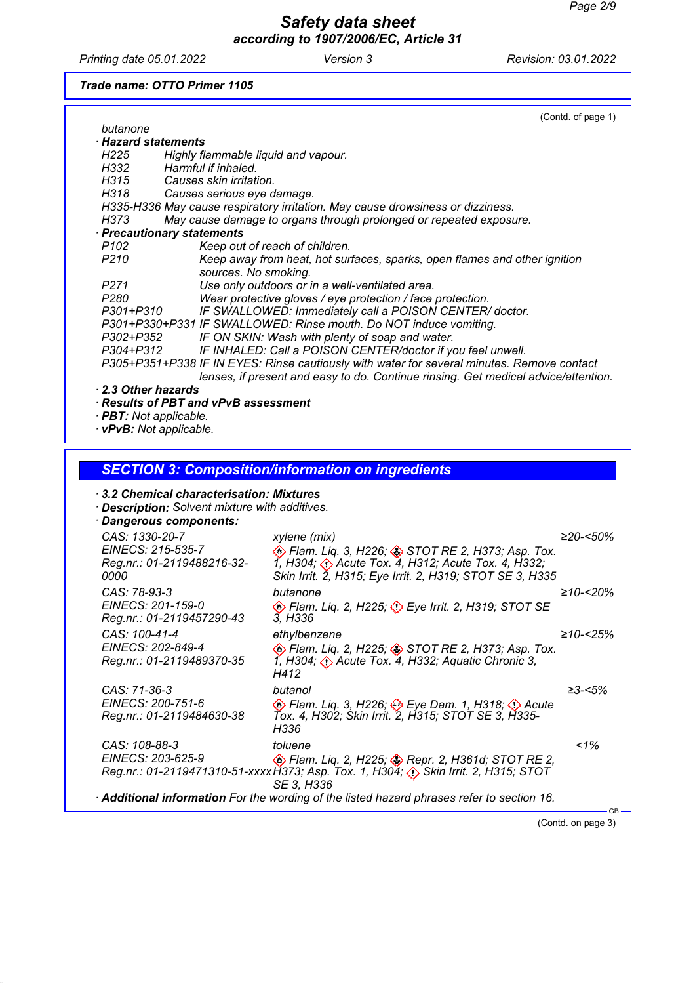*Printing date 05.01.2022 Version 3 Revision: 03.01.2022*

### *Trade name: OTTO Primer 1105*

|                                                                                               | (Contd. of page 1) |
|-----------------------------------------------------------------------------------------------|--------------------|
| butanone                                                                                      |                    |
| $\cdot$ Hazard statements                                                                     |                    |
| Highly flammable liquid and vapour.<br>H225                                                   |                    |
| Harmful if inhaled.<br>H332 <i>H</i>                                                          |                    |
| H315 —<br>Causes skin irritation.                                                             |                    |
| H318<br>Causes serious eye damage.                                                            |                    |
| H335-H336 May cause respiratory irritation. May cause drowsiness or dizziness.                |                    |
| May cause damage to organs through prolonged or repeated exposure.<br>H373                    |                    |
| · Precautionary statements                                                                    |                    |
| P102<br>Keep out of reach of children.                                                        |                    |
| P <sub>210</sub><br>Keep away from heat, hot surfaces, sparks, open flames and other ignition |                    |
| sources. No smoking.                                                                          |                    |
| Use only outdoors or in a well-ventilated area.<br>P <sub>271</sub>                           |                    |
| P280<br>Wear protective gloves / eye protection / face protection.                            |                    |
| IF SWALLOWED: Immediately call a POISON CENTER/doctor.<br>P301+P310                           |                    |
| P301+P330+P331 IF SWALLOWED: Rinse mouth. Do NOT induce vomiting.                             |                    |
| IF ON SKIN: Wash with plenty of soap and water.<br>P302+P352                                  |                    |
| IF INHALED: Call a POISON CENTER/doctor if you feel unwell.<br>P304+P312                      |                    |
| P305+P351+P338 IF IN EYES: Rinse cautiously with water for several minutes. Remove contact    |                    |
| lenses, if present and easy to do. Continue rinsing. Get medical advice/attention.            |                    |
| 2.3 Other hazards                                                                             |                    |
| $\cdot$ Results of PBT and vPvB assessment                                                    |                    |
| · <b>PBT</b> : Not applicable.                                                                |                    |
| <b>vPvB:</b> Not applicable.                                                                  |                    |

# *SECTION 3: Composition/information on ingredients*

## *· 3.2 Chemical characterisation: Mixtures*

*· Description: Solvent mixture with additives.*

*Dangerous components: ·* 

| CAS: 1330-20-7                                  |                                                                                                                                                                     |            |
|-------------------------------------------------|---------------------------------------------------------------------------------------------------------------------------------------------------------------------|------------|
| EINECS: 215-535-7<br>Reg.nr.: 01-2119488216-32- | xylene (mix)<br><b>Example 2, H226; Asset STOT RE 2, H373; Asp. Tox.</b><br>$\overline{1}$ , H304; $\overline{\langle}$ Acute Tox. 4, H312; Acute Tox. 4, H332;     | ≥20-<50%   |
| <i>0000</i>                                     | Skin Irrit. 2, H315; Eye Irrit. 2, H319; STOT SE 3, H335                                                                                                            |            |
| CAS: 78-93-3                                    | butanone                                                                                                                                                            | $≥10-x20%$ |
| EINECS: 201-159-0<br>Reg.nr.: 01-2119457290-43  | <b>Example 2, H225; 4) Eye Irrit. 2, H319; STOT SE</b><br>3, H336                                                                                                   |            |
| CAS: 100-41-4                                   | ethylbenzene                                                                                                                                                        | ≥10-<25%   |
| EINECS: 202-849-4<br>Reg.nr.: 01-2119489370-35  | <b>Example 2, H225; STOT RE 2, H373; Asp. Tox.</b><br>1, H304; $\langle \cdot \rangle$ Acute Tox. 4, H332; Aquatic Chronic 3,<br>H412                               |            |
| CAS: 71-36-3                                    | butanol                                                                                                                                                             | ≥3-<5%     |
| EINECS: 200-751-6                               | ♦ Flam. Liq. 3, H226; ♦ Eye Dam. 1, H318; ♦ Acute                                                                                                                   |            |
| Reg.nr.: 01-2119484630-38                       | Tox. 4, H302; Skin Irrit. 2, H315; STOT SE 3, H335-<br>H336                                                                                                         |            |
| CAS: 108-88-3                                   | toluene                                                                                                                                                             | $1\%$      |
| EINECS: 203-625-9                               | <b>Exam.</b> Liq. 2, H225; <b>Sepr. 2, H361d; STOT RE 2,</b><br>Reg.nr.: 01-2119471310-51-xxxx H373; Asp. Tox. 1, H304; < > Skin Irrit. 2, H315; STOT<br>SE 3. H336 |            |
|                                                 | · Additional information For the wording of the listed hazard phrases refer to section 16.                                                                          |            |

(Contd. on page 3)

GB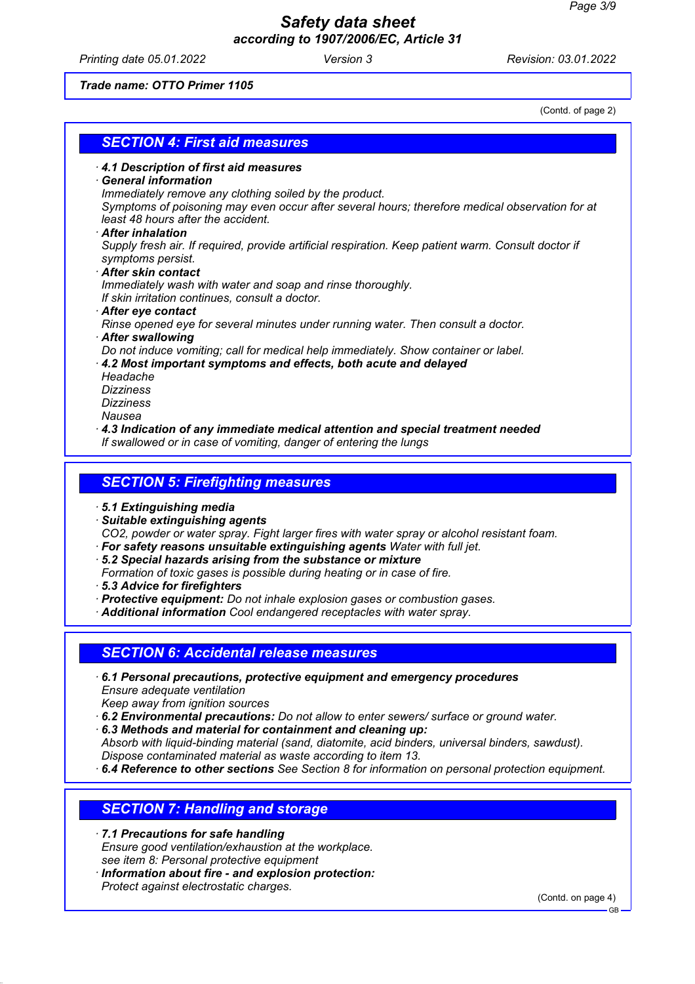*Printing date 05.01.2022 Version 3 Revision: 03.01.2022*

*Trade name: OTTO Primer 1105*

(Contd. of page 2)

|                                    | <b>SECTION 4: First aid measures</b>                                                                                                 |
|------------------------------------|--------------------------------------------------------------------------------------------------------------------------------------|
|                                    |                                                                                                                                      |
| <b>General information</b>         | 4.1 Description of first aid measures                                                                                                |
|                                    | Immediately remove any clothing soiled by the product.                                                                               |
|                                    | Symptoms of poisoning may even occur after several hours; therefore medical observation for at                                       |
| least 48 hours after the accident. |                                                                                                                                      |
| · After inhalation                 |                                                                                                                                      |
|                                    | Supply fresh air. If required, provide artificial respiration. Keep patient warm. Consult doctor if                                  |
| symptoms persist.                  |                                                                                                                                      |
| After skin contact                 |                                                                                                                                      |
|                                    | Immediately wash with water and soap and rinse thoroughly.                                                                           |
|                                    | If skin irritation continues, consult a doctor.                                                                                      |
| After eye contact                  |                                                                                                                                      |
|                                    | Rinse opened eye for several minutes under running water. Then consult a doctor.                                                     |
| <b>After swallowing</b>            | Do not induce vomiting; call for medical help immediately. Show container or label.                                                  |
|                                    | 4.2 Most important symptoms and effects, both acute and delayed                                                                      |
| Headache                           |                                                                                                                                      |
| <b>Dizziness</b>                   |                                                                                                                                      |
| <b>Dizziness</b>                   |                                                                                                                                      |
| Nausea                             |                                                                                                                                      |
|                                    | $\cdot$ 4.3 Indication of any immediate medical attention and special treatment needed                                               |
|                                    | If swallowed or in case of vomiting, danger of entering the lungs                                                                    |
|                                    |                                                                                                                                      |
|                                    | <b>SECTION 5: Firefighting measures</b>                                                                                              |
|                                    |                                                                                                                                      |
| 5.1 Extinguishing media            |                                                                                                                                      |
| · Suitable extinguishing agents    |                                                                                                                                      |
|                                    | CO2, powder or water spray. Fight larger fires with water spray or alcohol resistant foam.                                           |
|                                    | · For safety reasons unsuitable extinguishing agents Water with full jet.                                                            |
|                                    | 5.2 Special hazards arising from the substance or mixture<br>Formation of toxic gases is possible during heating or in case of fire. |
| 5.3 Advice for firefighters        |                                                                                                                                      |

*· Protective equipment: Do not inhale explosion gases or combustion gases.*

*· Additional information Cool endangered receptacles with water spray.*

## *SECTION 6: Accidental release measures*

- *· 6.1 Personal precautions, protective equipment and emergency procedures Ensure adequate ventilation*
- *Keep away from ignition sources*

*· 6.2 Environmental precautions: Do not allow to enter sewers/ surface or ground water.*

- *· 6.3 Methods and material for containment and cleaning up:*
- *Absorb with liquid-binding material (sand, diatomite, acid binders, universal binders, sawdust). Dispose contaminated material as waste according to item 13.*
- *· 6.4 Reference to other sections See Section 8 for information on personal protection equipment.*

## *SECTION 7: Handling and storage*

- *· 7.1 Precautions for safe handling Ensure good ventilation/exhaustion at the workplace. see item 8: Personal protective equipment*
- *· Information about fire and explosion protection: Protect against electrostatic charges.*

(Contd. on page 4)

GB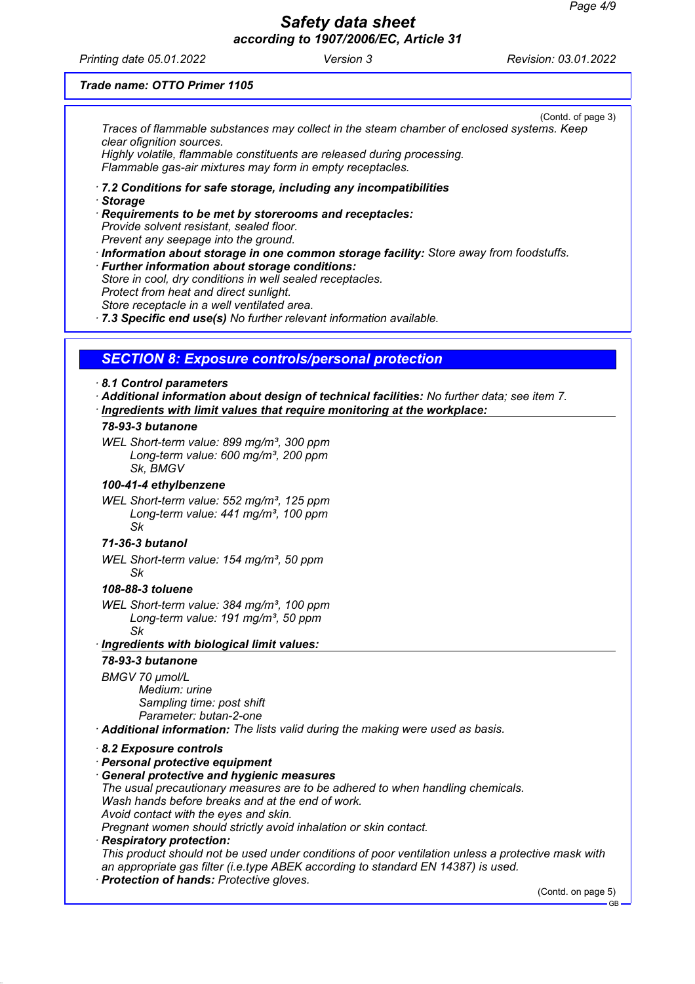*Printing date 05.01.2022 Version 3 Revision: 03.01.2022*

## *Trade name: OTTO Primer 1105*

(Contd. of page 3) *Traces of flammable substances may collect in the steam chamber of enclosed systems. Keep clear ofignition sources.*

*Highly volatile, flammable constituents are released during processing. Flammable gas-air mixtures may form in empty receptacles.*

- *· 7.2 Conditions for safe storage, including any incompatibilities*
- *· Storage*

*· Requirements to be met by storerooms and receptacles: Provide solvent resistant, sealed floor. Prevent any seepage into the ground.*

*· Information about storage in one common storage facility: Store away from foodstuffs. · Further information about storage conditions:*

*Store in cool, dry conditions in well sealed receptacles. Protect from heat and direct sunlight.*

*Store receptacle in a well ventilated area.*

*· 7.3 Specific end use(s) No further relevant information available.*

## *SECTION 8: Exposure controls/personal protection*

#### *· 8.1 Control parameters*

- *· Additional information about design of technical facilities: No further data; see item 7.*
- *Ingredients with limit values that require monitoring at the workplace:*

## *78-93-3 butanone*

*WEL Short-term value: 899 mg/m³, 300 ppm Long-term value: 600 mg/m³, 200 ppm Sk, BMGV*

#### *100-41-4 ethylbenzene*

*WEL Short-term value: 552 mg/m³, 125 ppm Long-term value: 441 mg/m³, 100 ppm Sk*

## *71-36-3 butanol*

*WEL Short-term value: 154 mg/m³, 50 ppm Sk*

## *108-88-3 toluene*

- *WEL Short-term value: 384 mg/m³, 100 ppm Long-term value: 191 mg/m³, 50 ppm Sk*
- *Ingredients with biological limit values: ·*

## *78-93-3 butanone*

*BMGV 70 µmol/L Medium: urine Sampling time: post shift Parameter: butan-2-one*

*· Additional information: The lists valid during the making were used as basis.*

## *· 8.2 Exposure controls*

*· Personal protective equipment*

#### *· General protective and hygienic measures*

*The usual precautionary measures are to be adhered to when handling chemicals. Wash hands before breaks and at the end of work.*

*Avoid contact with the eyes and skin.*

*Pregnant women should strictly avoid inhalation or skin contact.*

# *· Respiratory protection:*

*This product should not be used under conditions of poor ventilation unless a protective mask with an appropriate gas filter (i.e.type ABEK according to standard EN 14387) is used.*

*· Protection of hands: Protective gloves.*

(Contd. on page 5)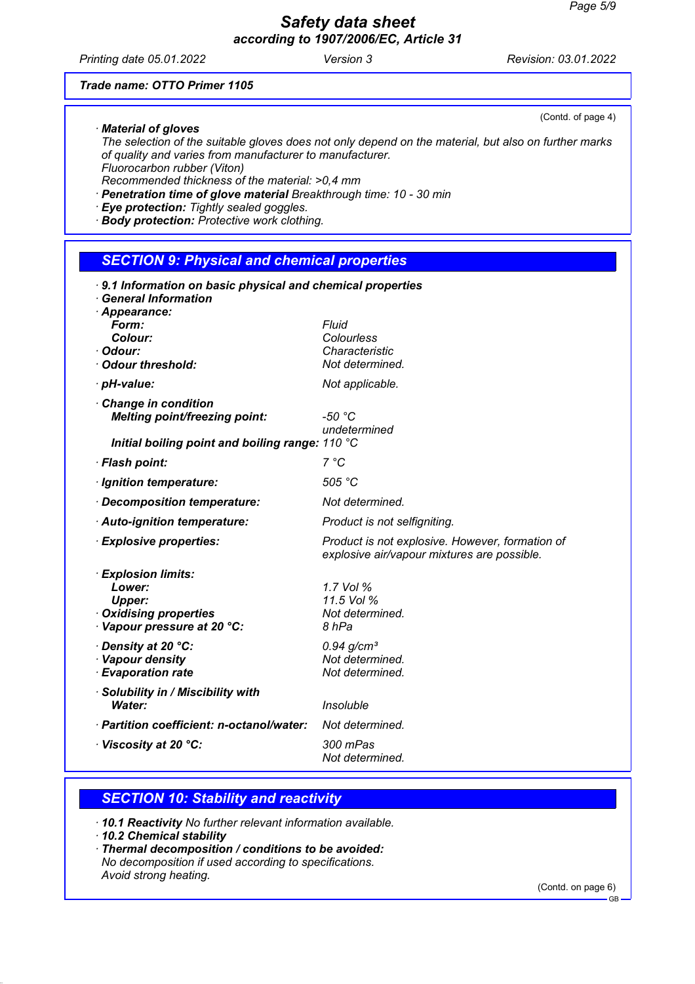*Printing date 05.01.2022 Version 3 Revision: 03.01.2022*

#### *Trade name: OTTO Primer 1105*

*· Material of gloves*

*The selection of the suitable gloves does not only depend on the material, but also on further marks of quality and varies from manufacturer to manufacturer. Fluorocarbon rubber (Viton)*

*Recommended thickness of the material: >0,4 mm*

- *· Penetration time of glove material Breakthrough time: 10 30 min*
- *· Eye protection: Tightly sealed goggles.*
- *· Body protection: Protective work clothing.*

## *SECTION 9: Physical and chemical properties*

| 9.1 Information on basic physical and chemical properties<br><b>General Information</b><br>· Appearance:   |                                                                                                |
|------------------------------------------------------------------------------------------------------------|------------------------------------------------------------------------------------------------|
| Form:                                                                                                      | <b>Fluid</b>                                                                                   |
| Colour:<br>· Odour:                                                                                        | Colourless<br>Characteristic                                                                   |
| Odour threshold:                                                                                           | Not determined.                                                                                |
| · pH-value:                                                                                                | Not applicable.                                                                                |
| <b>Change in condition</b><br><b>Melting point/freezing point:</b>                                         | $-50 °C$<br>undetermined                                                                       |
| Initial boiling point and boiling range: 110 °C                                                            |                                                                                                |
| · Flash point:                                                                                             | 7 °C                                                                                           |
| · Ignition temperature:                                                                                    | 505 °C                                                                                         |
| Decomposition temperature:                                                                                 | Not determined.                                                                                |
| · Auto-ignition temperature:                                                                               | Product is not selfigniting.                                                                   |
| <b>Explosive properties:</b>                                                                               | Product is not explosive. However, formation of<br>explosive air/vapour mixtures are possible. |
| <b>Explosion limits:</b><br>Lower:<br><b>Upper:</b><br>· Oxidising properties<br>Vapour pressure at 20 °C: | 1.7 Vol %<br>11.5 Vol %<br>Not determined.<br>8 hPa                                            |
| Density at 20 °C:<br>· Vapour density<br><b>Evaporation rate</b>                                           | $0.94$ g/cm <sup>3</sup><br>Not determined.<br>Not determined.                                 |
| · Solubility in / Miscibility with<br>Water:                                                               | Insoluble                                                                                      |
| · Partition coefficient: n-octanol/water:                                                                  | Not determined.                                                                                |
| $\cdot$ Viscosity at 20 $^{\circ}$ C:                                                                      | 300 mPas<br>Not determined.                                                                    |

## *SECTION 10: Stability and reactivity*

*· 10.1 Reactivity No further relevant information available.*

- *· 10.2 Chemical stability*
- *· Thermal decomposition / conditions to be avoided: No decomposition if used according to specifications. Avoid strong heating.*

(Contd. on page 6)

(Contd. of page 4)

GB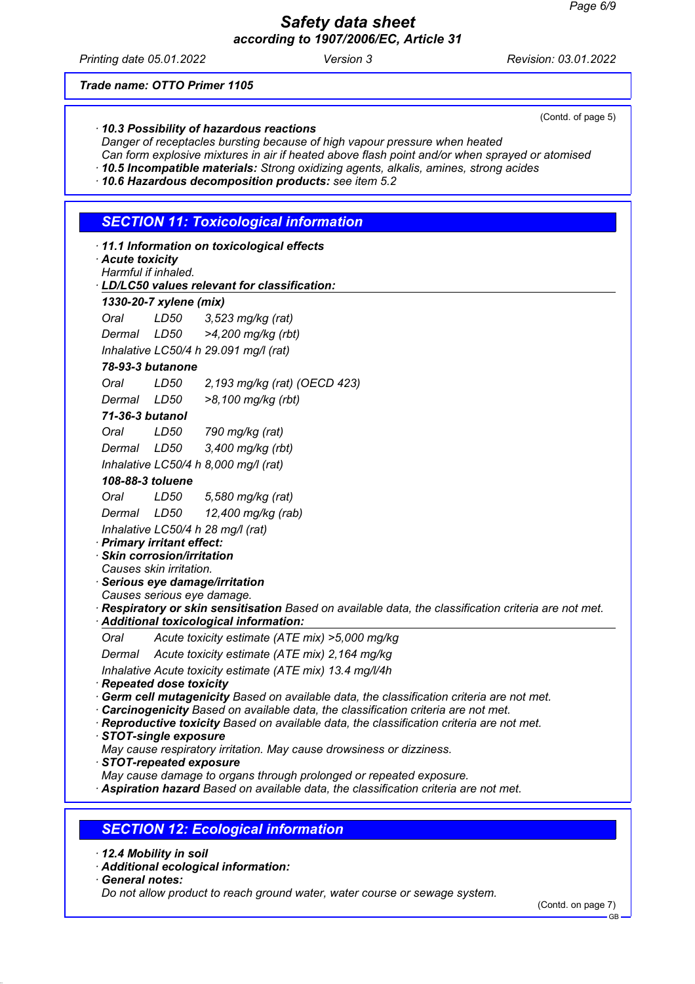*Printing date 05.01.2022 Version 3 Revision: 03.01.2022*

(Contd. of page 5)

#### *Trade name: OTTO Primer 1105*

| 10.3 Possibility of hazardous reactions |  |
|-----------------------------------------|--|
|                                         |  |

*Danger of receptacles bursting because of high vapour pressure when heated*

- *Can form explosive mixtures in air if heated above flash point and/or when sprayed or atomised*
- *· 10.5 Incompatible materials: Strong oxidizing agents, alkalis, amines, strong acides*

*· 10.6 Hazardous decomposition products: see item 5.2*

## *SECTION 11: Toxicological information*

|  |  |  |  | 11.1 Information on toxicological effects |  |
|--|--|--|--|-------------------------------------------|--|
|--|--|--|--|-------------------------------------------|--|

| Acute toxicity      |  |
|---------------------|--|
| Harmful if inhaled. |  |

## *LD/LC50 values relevant for classification: ·*

| LDILCOU VAIUCS ICICVAIIL IUI CIASSIIIC |      |                                       |  |
|----------------------------------------|------|---------------------------------------|--|
| 1330-20-7 xylene (mix)                 |      |                                       |  |
| Oral                                   | LD50 | $3,523$ mg/kg (rat)                   |  |
| Dermal                                 | LD50 | >4,200 mg/kg (rbt)                    |  |
|                                        |      | Inhalative LC50/4 h 29.091 mg/l (rat) |  |

## *78-93-3 butanone*

*Oral LD50 2,193 mg/kg (rat) (OECD 423)*

| Dermal | LD50 | >8,100 mg/kg (rbt) |  |
|--------|------|--------------------|--|
|--------|------|--------------------|--|

## *71-36-3 butanol*

| Oral   | LD50 | 790 mg/kg (rat)   |
|--------|------|-------------------|
| Dermal | LD50 | 3,400 mg/kg (rbt) |
|        |      |                   |

*Inhalative LC50/4 h 8,000 mg/l (rat)*

## *108-88-3 toluene*

| Oral   | LD50 | 5,580 mg/kg (rat)  |
|--------|------|--------------------|
| Dermal | LD50 | 12,400 mg/kg (rab) |

*Inhalative LC50/4 h 28 mg/l (rat)*

## *· Primary irritant effect:*

*· Skin corrosion/irritation*

*Causes skin irritation.*

*· Serious eye damage/irritation*

*Causes serious eye damage.*

*· Respiratory or skin sensitisation Based on available data, the classification criteria are not met.*

*Additional toxicological information: ·* 

*Oral Acute toxicity estimate (ATE mix) >5,000 mg/kg*

*Dermal Acute toxicity estimate (ATE mix) 2,164 mg/kg*

*Inhalative Acute toxicity estimate (ATE mix) 13.4 mg/l/4h*

- *· Repeated dose toxicity*
- *· Germ cell mutagenicity Based on available data, the classification criteria are not met.*
- *· Carcinogenicity Based on available data, the classification criteria are not met.*
- *· Reproductive toxicity Based on available data, the classification criteria are not met.*
- *· STOT-single exposure*

*May cause respiratory irritation. May cause drowsiness or dizziness.*

*· STOT-repeated exposure*

*May cause damage to organs through prolonged or repeated exposure.*

*· Aspiration hazard Based on available data, the classification criteria are not met.*

## *SECTION 12: Ecological information*



*· Additional ecological information:*

*· General notes:*

*Do not allow product to reach ground water, water course or sewage system.*

(Contd. on page 7)

GB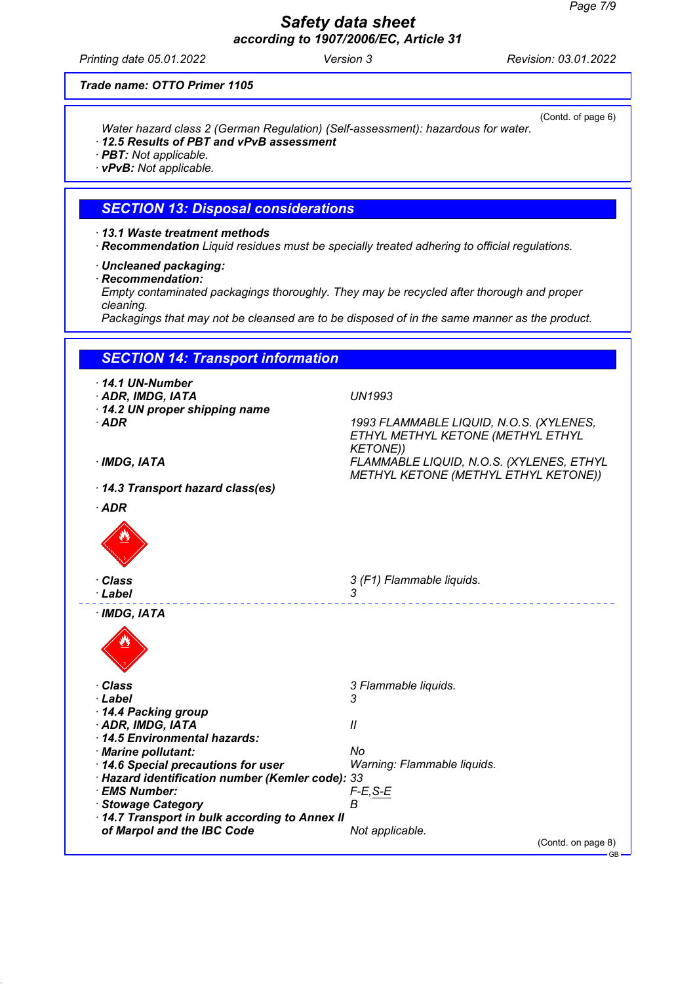*Printing date 05.01.2022 Version 3 Revision: 03.01.2022*

(Contd. of page 6)

## *Trade name: OTTO Primer 1105*

*Water hazard class 2 (German Regulation) (Self-assessment): hazardous for water.*

- *· 12.5 Results of PBT and vPvB assessment*
- *· PBT: Not applicable.*
- *· vPvB: Not applicable.*

## *SECTION 13: Disposal considerations*

- *· 13.1 Waste treatment methods*
- *· Recommendation Liquid residues must be specially treated adhering to official regulations.*
- *· Uncleaned packaging:*
- *· Recommendation:*

*Empty contaminated packagings thoroughly. They may be recycled after thorough and proper cleaning.*

*Packagings that may not be cleansed are to be disposed of in the same manner as the product.*

| $\cdot$ 14.1 UN-Number                                                     |                                                                                                 |
|----------------------------------------------------------------------------|-------------------------------------------------------------------------------------------------|
| · ADR, IMDG, IATA                                                          | <b>UN1993</b>                                                                                   |
| 14.2 UN proper shipping name                                               |                                                                                                 |
| $·$ ADR                                                                    | 1993 FLAMMABLE LIQUID, N.O.S. (XYLENES,<br>ETHYL METHYL KETONE (METHYL ETHYL<br><b>KETONE))</b> |
| · IMDG, IATA                                                               | FLAMMABLE LIQUID, N.O.S. (XYLENES, ETHYL<br>METHYL KETONE (METHYL ETHYL KETONE))                |
| 14.3 Transport hazard class(es)                                            |                                                                                                 |
| $·$ ADR                                                                    |                                                                                                 |
|                                                                            |                                                                                                 |
| · Class                                                                    | 3 (F1) Flammable liquids.                                                                       |
| · Label                                                                    | 3                                                                                               |
|                                                                            |                                                                                                 |
| · Class                                                                    | 3 Flammable liquids.                                                                            |
| · Label                                                                    | 3                                                                                               |
| 14.4 Packing group                                                         |                                                                                                 |
| · ADR, IMDG, IATA                                                          | $\mathcal{U}$                                                                                   |
| 14.5 Environmental hazards:                                                |                                                                                                 |
| · Marine pollutant:                                                        | No                                                                                              |
| 14.6 Special precautions for user                                          | Warning: Flammable liquids.                                                                     |
| · Hazard identification number (Kemler code): 33                           |                                                                                                 |
| · EMS Number:                                                              | $F-E$ , S-E                                                                                     |
| · Stowage Category                                                         | В                                                                                               |
|                                                                            |                                                                                                 |
| 14.7 Transport in bulk according to Annex II<br>of Marpol and the IBC Code | Not applicable.                                                                                 |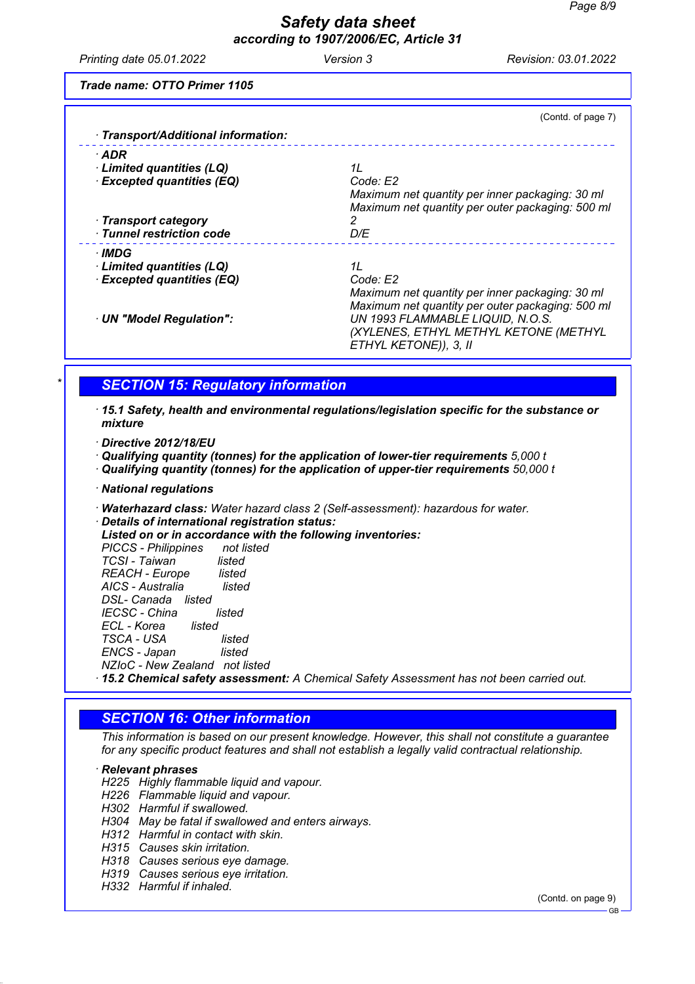*Printing date 05.01.2022 Version 3 Revision: 03.01.2022*

*Trade name: OTTO Primer 1105*

| · Transport/Additional information:               | (Contd. of page 7)                                                                                              |
|---------------------------------------------------|-----------------------------------------------------------------------------------------------------------------|
| $\cdot$ ADR                                       |                                                                                                                 |
| Limited quantities (LQ)                           | 11                                                                                                              |
| <b>Excepted quantities (EQ)</b>                   | Code: E2                                                                                                        |
| · Transport category<br>· Tunnel restriction code | Maximum net quantity per inner packaging: 30 ml<br>Maximum net quantity per outer packaging: 500 ml<br>2<br>D/E |
| · IMDG                                            |                                                                                                                 |
| Limited quantities (LQ)                           | 1L                                                                                                              |
| <b>Excepted quantities (EQ)</b>                   | Code: E2<br>Maximum net quantity per inner packaging: 30 ml<br>Maximum net quantity per outer packaging: 500 ml |
| · UN "Model Regulation":                          | UN 1993 FLAMMABLE LIQUID, N.O.S.<br>(XYLENES, ETHYL METHYL KETONE (METHYL<br>ETHYL KETONE)), 3, II              |

# *\* SECTION 15: Regulatory information*

*· 15.1 Safety, health and environmental regulations/legislation specific for the substance or mixture*

*· Directive 2012/18/EU*

*· Qualifying quantity (tonnes) for the application of lower-tier requirements 5,000 t*

*· Qualifying quantity (tonnes) for the application of upper-tier requirements 50,000 t*

*· National regulations*

*· Waterhazard class: Water hazard class 2 (Self-assessment): hazardous for water.*

*· Details of international registration status:*

*Listed on or in accordance with the following inventories: PICCS - Philippines TCSI - Taiwan listed REACH - Europe listed AICS - Australia listed DSL- Canada listed IECSC - China listed ECL - Korea listed TSCA - USA listed ENCS - Japan listed NZIoC - New Zealand not listed · 15.2 Chemical safety assessment: A Chemical Safety Assessment has not been carried out.*

## *SECTION 16: Other information*

*This information is based on our present knowledge. However, this shall not constitute a guarantee for any specific product features and shall not establish a legally valid contractual relationship.*

#### *· Relevant phrases*

- *H225 Highly flammable liquid and vapour.*
- *H226 Flammable liquid and vapour.*

*H302 Harmful if swallowed.*

- *H304 May be fatal if swallowed and enters airways.*
- *H312 Harmful in contact with skin.*
- *H315 Causes skin irritation.*
- *H318 Causes serious eye damage.*
- *H319 Causes serious eye irritation.*
- *H332 Harmful if inhaled.*

(Contd. on page 9)

GB